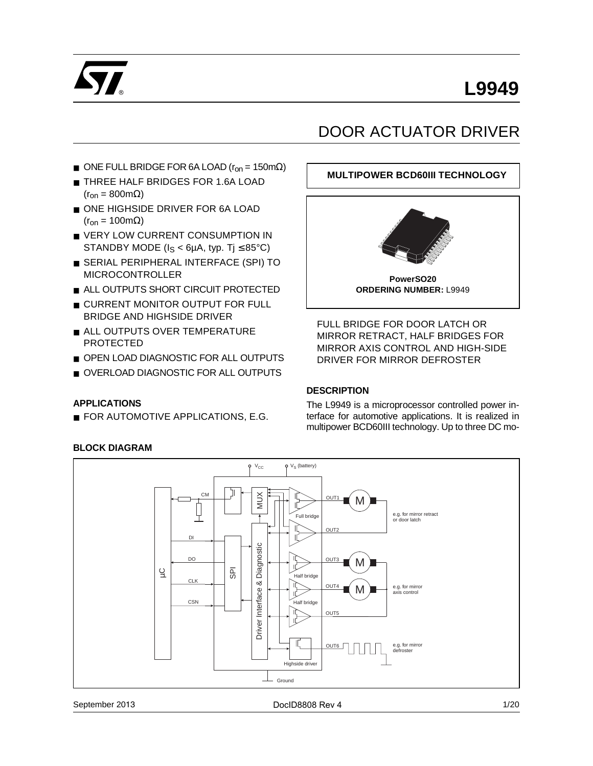

# **L9949**

# DOOR ACTUATOR DRIVER

**MULTIPOWER BCD60III TECHNOLOGY**

- ONE FULL BRIDGE FOR 6A LOAD ( $r_{on}$  = 150mΩ)
- THREE HALF BRIDGES FOR 1.6A LOAD  $(r_{on} = 800 \text{m}\Omega)$
- ONE HIGHSIDE DRIVER FOR 6A LOAD  $(r_{on} = 100 \text{m}\Omega)$
- VERY LOW CURRENT CONSUMPTION IN STANDBY MODE ( $I_S < 6\mu A$ , typ. Tj  $\leq 85^{\circ}C$ )
- SERIAL PERIPHERAL INTERFACE (SPI) TO MICROCONTROLLER
- ALL OUTPUTS SHORT CIRCUIT PROTECTED
- CURRENT MONITOR OUTPUT FOR FULL BRIDGE AND HIGHSIDE DRIVER
- ALL OUTPUTS OVER TEMPERATURE PROTECTED
- OPEN LOAD DIAGNOSTIC FOR ALL OUTPUTS
- OVERLOAD DIAGNOSTIC FOR ALL OUTPUTS

#### **APPLICATIONS**

■ FOR AUTOMOTIVE APPLICATIONS, E.G.

# **PowerSO20 ORDERING NUMBER:** L9949

FULL BRIDGE FOR DOOR LATCH OR MIRROR RETRACT, HALF BRIDGES FOR MIRROR AXIS CONTROL AND HIGH-SIDE DRIVER FOR MIRROR DEFROSTER

# **DESCRIPTION**

The L9949 is a microprocessor controlled power interface for automotive applications. It is realized in multipower BCD60III technology. Up to three DC mo-



#### September 2013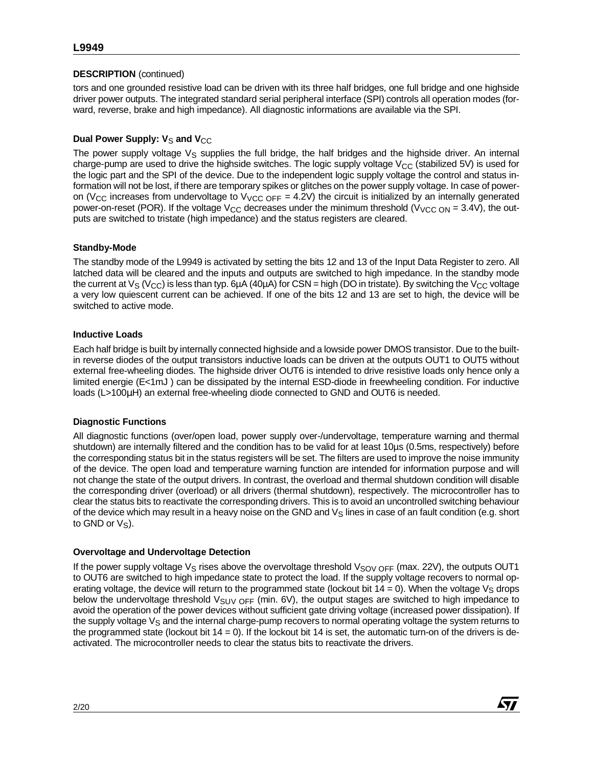# **DESCRIPTION** (continued)

tors and one grounded resistive load can be driven with its three half bridges, one full bridge and one highside driver power outputs. The integrated standard serial peripheral interface (SPI) controls all operation modes (forward, reverse, brake and high impedance). All diagnostic informations are available via the SPI.

# **Dual Power Supply: V<sub>S</sub> and V<sub>CC</sub>**

The power supply voltage  $V_S$  supplies the full bridge, the half bridges and the highside driver. An internal charge-pump are used to drive the highside switches. The logic supply voltage  $V_{CC}$  (stabilized 5V) is used for the logic part and the SPI of the device. Due to the independent logic supply voltage the control and status information will not be lost, if there are temporary spikes or glitches on the power supply voltage. In case of poweron (V<sub>CC</sub> increases from undervoltage to V<sub>VCC</sub>  $_{OFF}$  = 4.2V) the circuit is initialized by an internally generated power-on-reset (POR). If the voltage V<sub>CC</sub> decreases under the minimum threshold (V<sub>VCC ON</sub> = 3.4V), the outputs are switched to tristate (high impedance) and the status registers are cleared.

# **Standby-Mode**

The standby mode of the L9949 is activated by setting the bits 12 and 13 of the Input Data Register to zero. All latched data will be cleared and the inputs and outputs are switched to high impedance. In the standby mode the current at  $V_S$  (V<sub>CC</sub>) is less than typ. 6µA (40µA) for CSN = high (DO in tristate). By switching the V<sub>CC</sub> voltage a very low quiescent current can be achieved. If one of the bits 12 and 13 are set to high, the device will be switched to active mode.

# **Inductive Loads**

Each half bridge is built by internally connected highside and a lowside power DMOS transistor. Due to the builtin reverse diodes of the output transistors inductive loads can be driven at the outputs OUT1 to OUT5 without external free-wheeling diodes. The highside driver OUT6 is intended to drive resistive loads only hence only a limited energie (E<1mJ ) can be dissipated by the internal ESD-diode in freewheeling condition. For inductive loads (L>100µH) an external free-wheeling diode connected to GND and OUT6 is needed.

#### **Diagnostic Functions**

All diagnostic functions (over/open load, power supply over-/undervoltage, temperature warning and thermal shutdown) are internally filtered and the condition has to be valid for at least 10µs (0.5ms, respectively) before the corresponding status bit in the status registers will be set. The filters are used to improve the noise immunity of the device. The open load and temperature warning function are intended for information purpose and will not change the state of the output drivers. In contrast, the overload and thermal shutdown condition will disable the corresponding driver (overload) or all drivers (thermal shutdown), respectively. The microcontroller has to clear the status bits to reactivate the corresponding drivers. This is to avoid an uncontrolled switching behaviour of the device which may result in a heavy noise on the GND and  $V<sub>S</sub>$  lines in case of an fault condition (e.g. short to GND or  $V_S$ ).

#### **Overvoltage and Undervoltage Detection**

If the power supply voltage  $V_S$  rises above the overvoltage threshold  $V_{SOV OFF}$  (max. 22V), the outputs OUT1 to OUT6 are switched to high impedance state to protect the load. If the supply voltage recovers to normal operating voltage, the device will return to the programmed state (lockout bit  $14 = 0$ ). When the voltage  $V_S$  drops below the undervoltage threshold  $V_{\text{SUV OFF}}$  (min. 6V), the output stages are switched to high impedance to avoid the operation of the power devices without sufficient gate driving voltage (increased power dissipation). If the supply voltage  $V_S$  and the internal charge-pump recovers to normal operating voltage the system returns to the programmed state (lockout bit  $14 = 0$ ). If the lockout bit 14 is set, the automatic turn-on of the drivers is deactivated. The microcontroller needs to clear the status bits to reactivate the drivers.

**Ayy**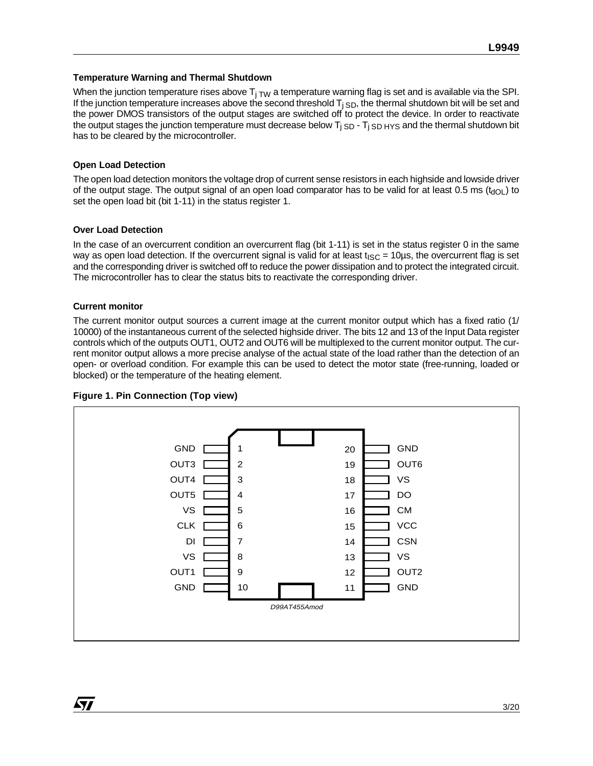#### **Temperature Warning and Thermal Shutdown**

When the junction temperature rises above  $T_{i, TW}$  a temperature warning flag is set and is available via the SPI. If the junction temperature increases above the second threshold  $T_{i SD}$ , the thermal shutdown bit will be set and the power DMOS transistors of the output stages are switched off to protect the device. In order to reactivate the output stages the junction temperature must decrease below  $T_{\rm i}$  sp -  $T_{\rm i}$  sp  $_{\rm HYS}$  and the thermal shutdown bit has to be cleared by the microcontroller.

#### **Open Load Detection**

The open load detection monitors the voltage drop of current sense resistors in each highside and lowside driver of the output stage. The output signal of an open load comparator has to be valid for at least 0.5 ms ( $t_{dOL}$ ) to set the open load bit (bit 1-11) in the status register 1.

#### **Over Load Detection**

In the case of an overcurrent condition an overcurrent flag (bit 1-11) is set in the status register 0 in the same way as open load detection. If the overcurrent signal is valid for at least  $t_{\text{ISC}} = 10 \mu s$ , the overcurrent flag is set and the corresponding driver is switched off to reduce the power dissipation and to protect the integrated circuit. The microcontroller has to clear the status bits to reactivate the corresponding driver.

#### **Current monitor**

*kyj* 

The current monitor output sources a current image at the current monitor output which has a fixed ratio (1/ 10000) of the instantaneous current of the selected highside driver. The bits 12 and 13 of the Input Data register controls which of the outputs OUT1, OUT2 and OUT6 will be multiplexed to the current monitor output. The current monitor output allows a more precise analyse of the actual state of the load rather than the detection of an open- or overload condition. For example this can be used to detect the motor state (free-running, loaded or blocked) or the temperature of the heating element.



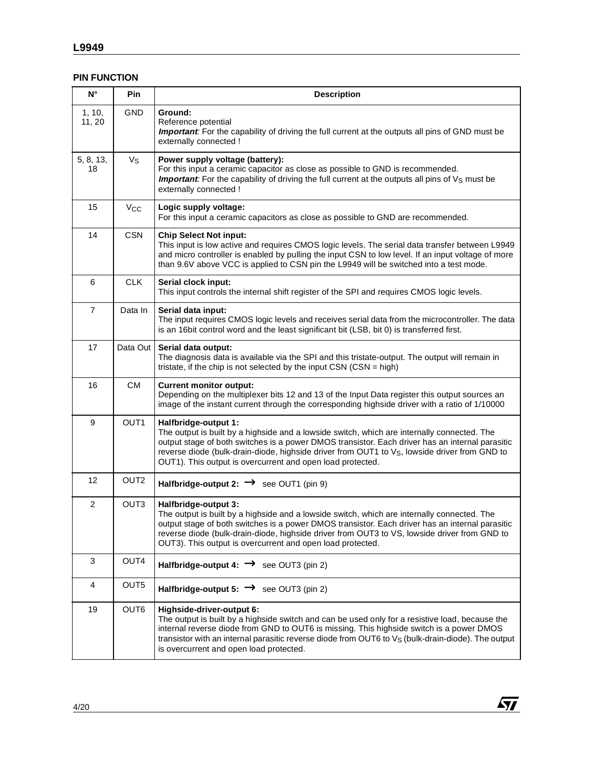# **PIN FUNCTION**

| $N^{\circ}$               | Pin                   | <b>Description</b>                                                                                                                                                                                                                                                                                                                                                                                |
|---------------------------|-----------------------|---------------------------------------------------------------------------------------------------------------------------------------------------------------------------------------------------------------------------------------------------------------------------------------------------------------------------------------------------------------------------------------------------|
| 1, 10,<br>11, 20          | <b>GND</b>            | Ground:<br>Reference potential<br><b>Important:</b> For the capability of driving the full current at the outputs all pins of GND must be<br>externally connected !                                                                                                                                                                                                                               |
| 5, 8, 13,<br>18           | Vs                    | Power supply voltage (battery):<br>For this input a ceramic capacitor as close as possible to GND is recommended.<br><b>Important:</b> For the capability of driving the full current at the outputs all pins of $V_S$ must be<br>externally connected !                                                                                                                                          |
| 15                        | <b>V<sub>CC</sub></b> | Logic supply voltage:<br>For this input a ceramic capacitors as close as possible to GND are recommended.                                                                                                                                                                                                                                                                                         |
| 14                        | <b>CSN</b>            | <b>Chip Select Not input:</b><br>This input is low active and requires CMOS logic levels. The serial data transfer between L9949<br>and micro controller is enabled by pulling the input CSN to low level. If an input voltage of more<br>than 9.6V above VCC is applied to CSN pin the L9949 will be switched into a test mode.                                                                  |
| 6                         | <b>CLK</b>            | Serial clock input:<br>This input controls the internal shift register of the SPI and requires CMOS logic levels.                                                                                                                                                                                                                                                                                 |
| $\overline{7}$            | Data In               | Serial data input:<br>The input requires CMOS logic levels and receives serial data from the microcontroller. The data<br>is an 16bit control word and the least significant bit (LSB, bit 0) is transferred first.                                                                                                                                                                               |
| 17                        | Data Out              | Serial data output:<br>The diagnosis data is available via the SPI and this tristate-output. The output will remain in<br>tristate, if the chip is not selected by the input CSN (CSN = high)                                                                                                                                                                                                     |
| 16                        | <b>CM</b>             | <b>Current monitor output:</b><br>Depending on the multiplexer bits 12 and 13 of the Input Data register this output sources an<br>image of the instant current through the corresponding highside driver with a ratio of 1/10000                                                                                                                                                                 |
| 9                         | OUT1                  | Halfbridge-output 1:<br>The output is built by a highside and a lowside switch, which are internally connected. The<br>output stage of both switches is a power DMOS transistor. Each driver has an internal parasitic<br>reverse diode (bulk-drain-diode, highside driver from OUT1 to V <sub>S</sub> , lowside driver from GND to<br>OUT1). This output is overcurrent and open load protected. |
| 12                        | OUT <sub>2</sub>      | Halfbridge-output 2: $\rightarrow$ see OUT1 (pin 9)                                                                                                                                                                                                                                                                                                                                               |
| $\overline{2}$            | OUT <sub>3</sub>      | Halfbridge-output 3:<br>The output is built by a highside and a lowside switch, which are internally connected. The<br>output stage of both switches is a power DMOS transistor. Each driver has an internal parasitic<br>reverse diode (bulk-drain-diode, highside driver from OUT3 to VS, lowside driver from GND to<br>OUT3). This output is overcurrent and open load protected.              |
| $\ensuremath{\mathsf{3}}$ | OUT4                  | Halfbridge-output 4: $\rightarrow$ see OUT3 (pin 2)                                                                                                                                                                                                                                                                                                                                               |
| 4                         | OUT5                  | Halfbridge-output 5: $\rightarrow$ see OUT3 (pin 2)                                                                                                                                                                                                                                                                                                                                               |
| 19                        | OUT6                  | Highside-driver-output 6:<br>The output is built by a highside switch and can be used only for a resistive load, because the<br>internal reverse diode from GND to OUT6 is missing. This highside switch is a power DMOS<br>transistor with an internal parasitic reverse diode from OUT6 to V <sub>S</sub> (bulk-drain-diode). The output<br>is overcurrent and open load protected.             |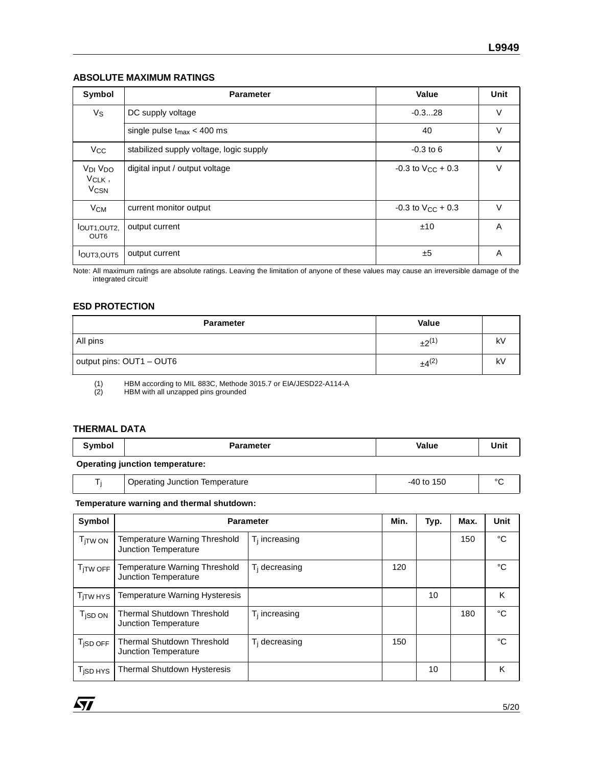#### **ABSOLUTE MAXIMUM RATINGS**

| Symbol                                                             | <b>Parameter</b>                        | Value                    | Unit   |
|--------------------------------------------------------------------|-----------------------------------------|--------------------------|--------|
| Vs                                                                 | DC supply voltage                       | $-0.328$                 | V      |
|                                                                    | single pulse $t_{\text{max}} < 400$ ms  | 40                       | $\vee$ |
| <b>V<sub>CC</sub></b>                                              | stabilized supply voltage, logic supply | $-0.3$ to 6              | V      |
| V <sub>DI</sub> V <sub>DO</sub><br>VCLK,<br><b>V<sub>CSN</sub></b> | digital input / output voltage          | $-0.3$ to $V_{CC}$ + 0.3 | $\vee$ |
| $V_{CM}$                                                           | current monitor output                  | $-0.3$ to $V_{CC}$ + 0.3 | V      |
| IOUT <sub>1</sub> , OUT <sub>2</sub><br>OUT <sub>6</sub>           | output current                          | ±10                      | A      |
| <b>IOUT3,OUT5</b>                                                  | output current                          | ±5                       | A      |

Note: All maximum ratings are absolute ratings. Leaving the limitation of anyone of these values may cause an irreversible damage of the integrated circuit!

#### **ESD PROTECTION**

| <b>Parameter</b>         | Value      |    |
|--------------------------|------------|----|
| All pins                 | $+2^{(1)}$ | kV |
| output pins: OUT1 - OUT6 | $±4^{(2)}$ | kV |

(1) HBM according to MIL 883C, Methode 3015.7 or EIA/JESD22-A114-A

HBM with all unzapped pins grounded

#### **THERMAL DATA**

| `vmbo∟                          | <b>Parameter</b> | Value | Unit |  |  |  |  |
|---------------------------------|------------------|-------|------|--|--|--|--|
| Operating iunction temperatures |                  |       |      |  |  |  |  |

#### **Operating junction temperature:**

| <b>Iemperature</b><br>Operating<br>Junction<br>74 U | $\mathbf{r}$<br>50 |
|-----------------------------------------------------|--------------------|
|-----------------------------------------------------|--------------------|

#### **Temperature warning and thermal shutdown:**

| Symbol                |                                                              | <b>Parameter</b> | Min. | Typ. | Max. | Unit |
|-----------------------|--------------------------------------------------------------|------------------|------|------|------|------|
| T <sub>I</sub> TW ON  | <b>Temperature Warning Threshold</b><br>Junction Temperature | $T_i$ increasing |      |      | 150  | °C   |
| T <sub>ITW OFF</sub>  | <b>Temperature Warning Threshold</b><br>Junction Temperature | $T_i$ decreasing | 120  |      |      | °C   |
| T <sub>I</sub> TW HYS | Temperature Warning Hysteresis                               |                  |      | 10   |      | K    |
| T <sub>i</sub> sd on  | <b>Thermal Shutdown Threshold</b><br>Junction Temperature    | $T_i$ increasing |      |      | 180  | °C   |
| T <sub>iSD OFF</sub>  | <b>Thermal Shutdown Threshold</b><br>Junction Temperature    | $T_i$ decreasing | 150  |      |      | °C   |
| T <sub>iSD HYS</sub>  | <b>Thermal Shutdown Hysteresis</b>                           |                  |      | 10   |      | κ    |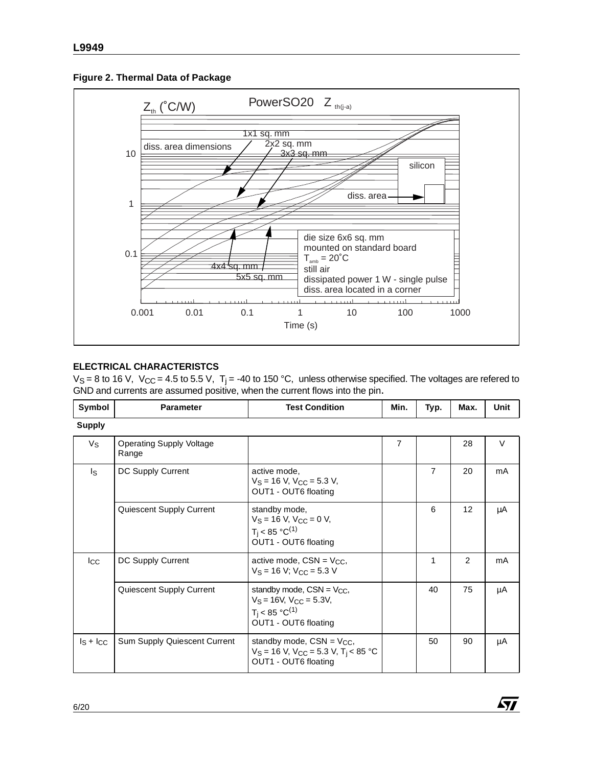



# **ELECTRICAL CHARACTERISTCS**

 $V_S = 8$  to 16 V,  $V_{CC} = 4.5$  to 5.5 V, T<sub>i</sub> = -40 to 150 °C, unless otherwise specified. The voltages are refered to GND and currents are assumed positive, when the current flows into the pin.

| Symbol        | <b>Parameter</b>                         | <b>Test Condition</b>                                                                                                     | Min.           | Typ.           | Max. | Unit   |
|---------------|------------------------------------------|---------------------------------------------------------------------------------------------------------------------------|----------------|----------------|------|--------|
| <b>Supply</b> |                                          |                                                                                                                           |                |                |      |        |
| $V_{S}$       | <b>Operating Supply Voltage</b><br>Range |                                                                                                                           | $\overline{7}$ |                | 28   | $\vee$ |
| Is            | DC Supply Current                        | active mode,<br>$V_S = 16$ V, $V_{CC} = 5.3$ V,<br>OUT1 - OUT6 floating                                                   |                | $\overline{7}$ | 20   | mA     |
|               | Quiescent Supply Current                 | standby mode,<br>$V_S = 16$ V, $V_{CC} = 0$ V,<br>$T_i$ < 85 °C <sup>(1)</sup><br>OUT1 - OUT6 floating                    |                | 6              | 12   | μA     |
| $I_{\rm CC}$  | DC Supply Current                        | active mode, $CSN = V_{CC}$<br>$V_S = 16 V$ ; $V_{CC} = 5.3 V$                                                            |                | 1              | 2    | mA     |
|               | Quiescent Supply Current                 | standby mode, $CSN = V_{CC}$ ,<br>$V_S = 16V$ , $V_{CC} = 5.3V$ ,<br>$T_i$ < 85 °C <sup>(1)</sup><br>OUT1 - OUT6 floating |                | 40             | 75   | μA     |
| $ls + lcc$    | <b>Sum Supply Quiescent Current</b>      | standby mode, $CSN = V_{CC}$ ,<br>$V_S = 16$ V, $V_{CC} = 5.3$ V, $T_i < 85$ °C<br>OUT1 - OUT6 floating                   |                | 50             | 90   | μA     |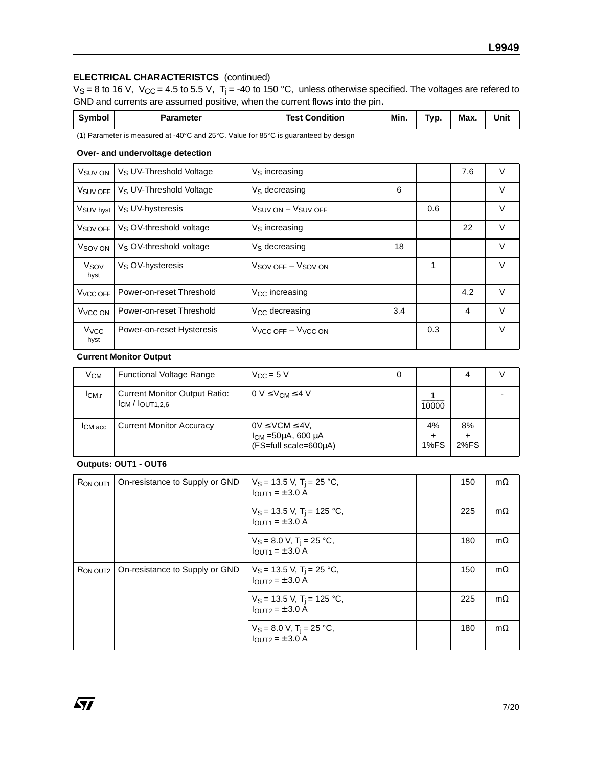# **ELECTRICAL CHARACTERISTCS** (continued)

 $V_S = 8$  to 16 V,  $V_{CC} = 4.5$  to 5.5 V, T<sub>j</sub> = -40 to 150 °C, unless otherwise specified. The voltages are refered to GND and currents are assumed positive, when the current flows into the pin.

| Symbol | Parameter  | <b>Test Condition</b> | Min. | Tvp. | Max. | Unit |
|--------|------------|-----------------------|------|------|------|------|
| .      | .<br>_____ | ____                  |      |      |      |      |

(1) Parameter is measured at -40°C and 25°C. Value for 85°C is guaranteed by design

#### **Over- and undervoltage detection**

| V <sub>SUV</sub> ON            | V <sub>S</sub> UV-Threshold Voltage | V <sub>S</sub> increasing                |     |     | 7.6 | $\vee$ |
|--------------------------------|-------------------------------------|------------------------------------------|-----|-----|-----|--------|
| V <sub>SUV</sub> OFF           | V <sub>S</sub> UV-Threshold Voltage | V <sub>S</sub> decreasing                | 6   |     |     | V      |
| V <sub>SUV hyst</sub>          | V <sub>S</sub> UV-hysteresis        | $V_{\text{SUV ON}} - V_{\text{SUV OFF}}$ |     | 0.6 |     | V      |
| V <sub>SOV</sub> OFF           | V <sub>S</sub> OV-threshold voltage | V <sub>S</sub> increasing                |     |     | 22  | V      |
| V <sub>SOV</sub> ON            | V <sub>S</sub> OV-threshold voltage | V <sub>S</sub> decreasing                | 18  |     |     | $\vee$ |
| V <sub>SOV</sub><br>hyst       | $V_S$ OV-hysteresis                 | $V_{\text{SOV OFF}} - V_{\text{SOV ON}}$ |     | 1   |     | $\vee$ |
| V <sub>V</sub> CC OFF          | Power-on-reset Threshold            | V <sub>CC</sub> increasing               |     |     | 4.2 | $\vee$ |
| V <sub>VCC</sub> ON            | Power-on-reset Threshold            | V <sub>CC</sub> decreasing               | 3.4 |     | 4   | $\vee$ |
| <b>V<sub>VCC</sub></b><br>hyst | Power-on-reset Hysteresis           | $VVCC$ off $-VVCC$ on                    |     | 0.3 |     | $\vee$ |

#### **Current Monitor Output**

| V <sub>CM</sub>   | <b>Functional Voltage Range</b>                                 | $V_{\rm CC}$ = 5 V                                                                  | 0 |                 | 4          |  |
|-------------------|-----------------------------------------------------------------|-------------------------------------------------------------------------------------|---|-----------------|------------|--|
| I <sub>CM.r</sub> | <b>Current Monitor Output Ratio:</b><br>$l$ CM $/$ $l$ OUT1.2.6 | $0 \vee \leq V_{CM} \leq 4 V$                                                       |   | 10000           |            |  |
| <b>ICM</b> acc    | <b>Current Monitor Accuracy</b>                                 | $0V \leq VCM \leq 4V$<br>$l_{CM}$ =50 $\mu$ A, 600 $\mu$ A<br>(FS=full scale=600uA) |   | 4%<br>٠<br>1%FS | 8%<br>2%FS |  |

# **Outputs: OUT1 - OUT6**

勾

| R <sub>ON</sub> OUT <sub>1</sub> | On-resistance to Supply or GND | $V_S = 13.5$ V, T <sub>i</sub> = 25 °C,<br>$IQIJT1 = \pm 3.0 A$                  |  | 150 | $m\Omega$ |
|----------------------------------|--------------------------------|----------------------------------------------------------------------------------|--|-----|-----------|
|                                  |                                | $V_S = 13.5$ V, T <sub>i</sub> = 125 °C,<br>$I$ <sub>OUT1</sub> = $\pm$ 3.0 A    |  | 225 | $m\Omega$ |
|                                  |                                | $V_S = 8.0 V$ , T <sub>i</sub> = 25 °C,<br>$I_{\text{OUT1}} = \pm 3.0 \text{ A}$ |  | 180 | $m\Omega$ |
| RON OUT2                         | On-resistance to Supply or GND | $V_S$ = 13.5 V, T <sub>i</sub> = 25 °C,<br>$I_{OUT2} = \pm 3.0 A$                |  | 150 | $m\Omega$ |
|                                  |                                | $V_S = 13.5$ V, T <sub>i</sub> = 125 °C,<br>$IQI1T2 = \pm 3.0 A$                 |  | 225 | $m\Omega$ |
|                                  |                                | $V_S = 8.0 V$ , T <sub>j</sub> = 25 °C,<br>$I$ OUT <sub>2</sub> = ± 3.0 A        |  | 180 | $m\Omega$ |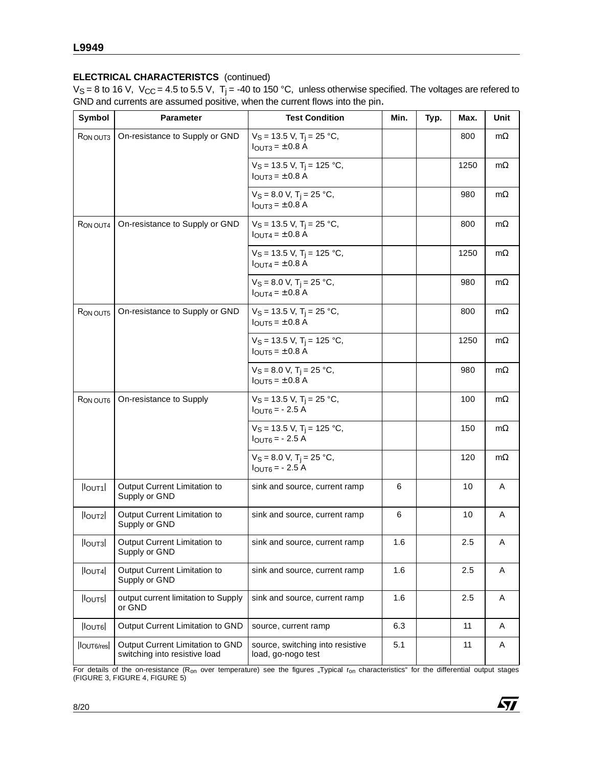# **ELECTRICAL CHARACTERISTCS** (continued)

 $V_S = 8$  to 16 V,  $V_{CC} = 4.5$  to 5.5 V, T<sub>j</sub> = -40 to 150 °C, unless otherwise specified. The voltages are refered to GND and currents are assumed positive, when the current flows into the pin.

| Symbol                  | <b>Parameter</b>                                                  | <b>Test Condition</b>                                                             | Min. | Typ. | Max. | Unit      |
|-------------------------|-------------------------------------------------------------------|-----------------------------------------------------------------------------------|------|------|------|-----------|
| RON OUT3                | On-resistance to Supply or GND                                    | $V_S = 13.5$ V, T <sub>j</sub> = 25 °C,<br>$I_{\text{OUT3}} = \pm 0.8 \text{ A}$  |      |      | 800  | $m\Omega$ |
|                         |                                                                   | $V_S = 13.5$ V, T <sub>i</sub> = 125 °C,<br>$I_{\text{OUT3}} = \pm 0.8 \text{ A}$ |      |      | 1250 | mΩ        |
|                         |                                                                   | $V_S = 8.0 V$ , T <sub>i</sub> = 25 °C,<br>$I_{\text{OUT3}} = \pm 0.8 \text{ A}$  |      |      | 980  | $m\Omega$ |
| RON OUT4                | On-resistance to Supply or GND                                    | $V_S = 13.5$ V, T <sub>i</sub> = 25 °C,<br>$I_{OUT4} = \pm 0.8$ A                 |      |      | 800  | mΩ        |
|                         |                                                                   | $V_S = 13.5$ V, T <sub>i</sub> = 125 °C,<br>$I_{\text{OUT4}} = \pm 0.8 \text{ A}$ |      |      | 1250 | $m\Omega$ |
|                         |                                                                   | $V_S = 8.0 V$ , T <sub>i</sub> = 25 °C,<br>$I_{OUT4} = \pm 0.8$ A                 |      |      | 980  | mΩ        |
| R <sub>ON</sub> OUT5    | On-resistance to Supply or GND                                    | $V_S = 13.5$ V, T <sub>i</sub> = 25 °C,<br>$I_{\text{OUT5}} = \pm 0.8 \text{ A}$  |      |      | 800  | $m\Omega$ |
|                         |                                                                   | $V_S = 13.5$ V, T <sub>i</sub> = 125 °C,<br>$I_{\text{OUT5}} = \pm 0.8 \text{ A}$ |      |      | 1250 | $m\Omega$ |
|                         |                                                                   | $V_S = 8.0 V$ , T <sub>i</sub> = 25 °C,<br>$I_{\text{OUT5}} = \pm 0.8$ A          |      |      | 980  | $m\Omega$ |
| RON OUT6                | On-resistance to Supply                                           | $V_S = 13.5$ V, T <sub>j</sub> = 25 °C,<br>$I_{OUT6} = -2.5 A$                    |      |      | 100  | mΩ        |
|                         |                                                                   | $V_S = 13.5$ V, T <sub>i</sub> = 125 °C,<br>$I_{OUT6} = -2.5 A$                   |      |      | 150  | mΩ        |
|                         |                                                                   | $V_S = 8.0 V$ , T <sub>j</sub> = 25 °C,<br>$I_{OUT6} = -2.5 A$                    |      |      | 120  | $m\Omega$ |
| $I$ <sub>lout</sub> $I$ | Output Current Limitation to<br>Supply or GND                     | sink and source, current ramp                                                     | 6    |      | 10   | Α         |
| $ I_{OUT2} $            | Output Current Limitation to<br>Supply or GND                     | sink and source, current ramp                                                     | 6    |      | 10   | A         |
| $ I_{\text{OUT3}} $     | Output Current Limitation to<br>Supply or GND                     | sink and source, current ramp                                                     | 1.6  |      | 2.5  | A         |
| $ I_{OUT4} $            | Output Current Limitation to<br>Supply or GND                     | sink and source, current ramp                                                     | 1.6  |      | 2.5  | Α         |
| $ I_{OUT5} $            | output current limitation to Supply<br>or GND                     | sink and source, current ramp                                                     | 1.6  |      | 2.5  | Α         |
| $ $ loutel              | Output Current Limitation to GND                                  | source, current ramp                                                              | 6.3  |      | 11   | A         |
| lout6/res               | Output Current Limitation to GND<br>switching into resistive load | source, switching into resistive<br>load, go-nogo test                            | 5.1  |      | 11   | Α         |

For details of the on-resistance (R<sub>on</sub> over temperature) see the figures "Typical r<sub>on</sub> characteristics" for the differential output stages<br>(FIGURE 3, FIGURE 4, FIGURE 5)

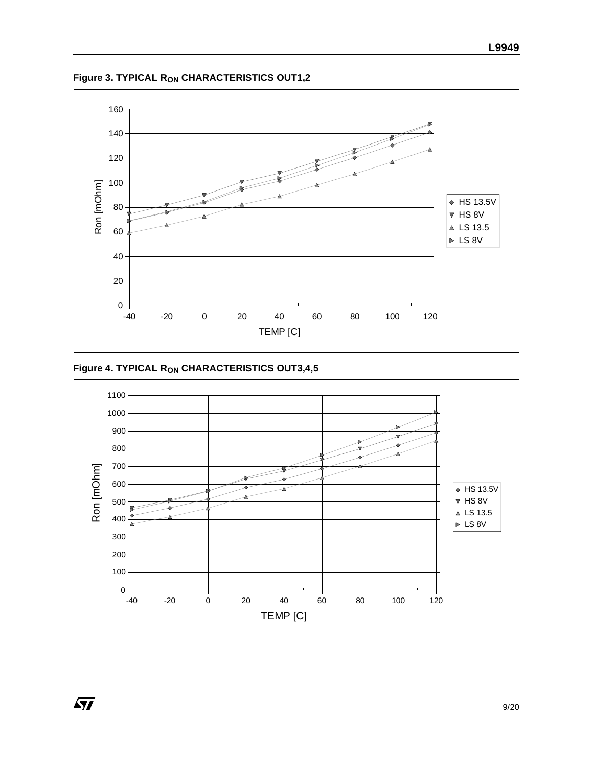

**Figure 3. TYPICAL RON CHARACTERISTICS OUT1,2**



 $\sqrt{2}$ 

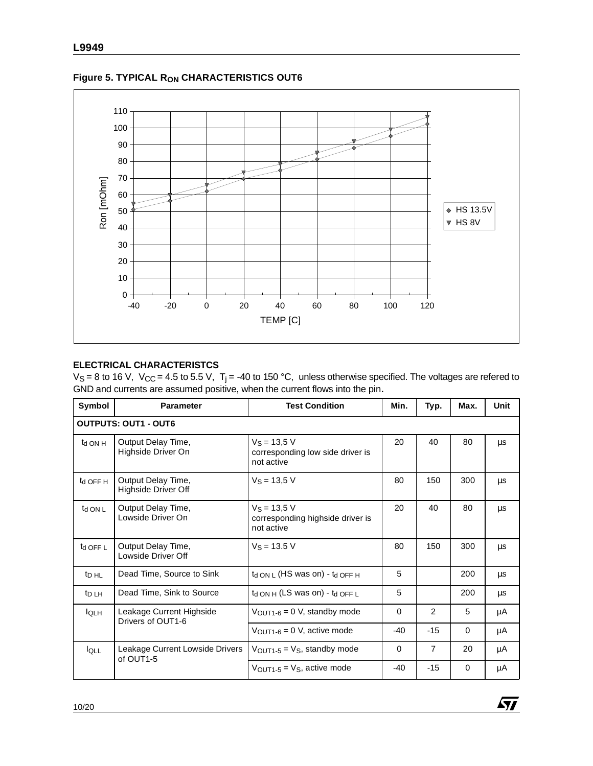

**Figure 5. TYPICAL RON CHARACTERISTICS OUT6**

# **ELECTRICAL CHARACTERISTCS**

 $V_S = 8$  to 16 V,  $V_{CC} = 4.5$  to 5.5 V, T<sub>j</sub> = -40 to 150 °C, unless otherwise specified. The voltages are refered to GND and currents are assumed positive, when the current flows into the pin.

| Symbol                      | <b>Parameter</b>                              | <b>Test Condition</b>                                            | Min.     | Typ.          | Max.     | Unit    |  |  |
|-----------------------------|-----------------------------------------------|------------------------------------------------------------------|----------|---------------|----------|---------|--|--|
| <b>OUTPUTS: OUT1 - OUT6</b> |                                               |                                                                  |          |               |          |         |  |  |
| $t_{d}$ ON H                | Output Delay Time,<br>Highside Driver On      | $V_S = 13,5 V$<br>corresponding low side driver is<br>not active | 20       | 40            | 80       | μs      |  |  |
| t <sub>d</sub> OFF H        | Output Delay Time,<br>Highside Driver Off     | $V_S = 13.5 V$                                                   | 80       | 150           | 300      | μs      |  |  |
| $t_{d}$ ON L                | Output Delay Time,<br>Lowside Driver On       | $V_S = 13.5 V$<br>corresponding highside driver is<br>not active | 20       | 40            | 80       | μs      |  |  |
| t <sub>d</sub> OFF L        | Output Delay Time,<br>Lowside Driver Off      | $V_S = 13.5 V$                                                   | 80       | 150           | 300      | μs      |  |  |
| t <sub>D HL</sub>           | Dead Time, Source to Sink                     | $t_d$ ON L (HS was on) - $t_d$ OFF H                             | 5        |               | 200      | $\mu$ s |  |  |
| $t_{\text{D LH}}$           | Dead Time, Sink to Source                     | $t_{d ON H}$ (LS was on) - $t_{d OFFL}$                          | 5        |               | 200      | μs      |  |  |
| <b>I</b> OLH                | Leakage Current Highside<br>Drivers of OUT1-6 | $V_{\text{OUT1-6}} = 0$ V, standby mode                          | $\Omega$ | $\mathcal{P}$ | 5        | μA      |  |  |
|                             |                                               | $V_{\text{OUT1-6}} = 0$ V, active mode                           | $-40$    | $-15$         | $\Omega$ | μA      |  |  |
| $I_{\text{OLL}}$            | Leakage Current Lowside Drivers<br>of OUT1-5  | $V_{\text{OUT1-5}} = V_{\text{S}}$ , standby mode                | $\Omega$ | 7             | 20       | μA      |  |  |
|                             |                                               | $V_{\text{OUT1-5}} = V_{\text{S}}$ , active mode                 | $-40$    | $-15$         | 0        | μA      |  |  |

 $\sqrt{2}$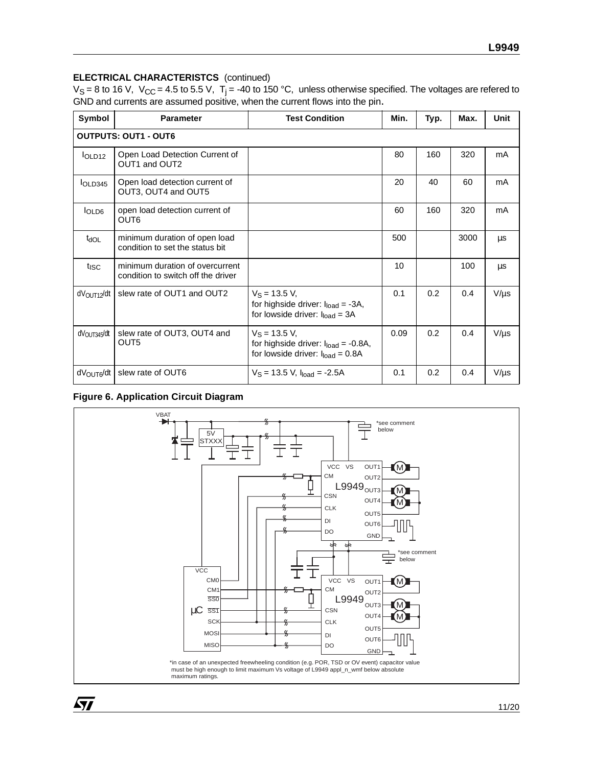# **ELECTRICAL CHARACTERISTCS** (continued)

 $V_S = 8$  to 16 V,  $V_{CC} = 4.5$  to 5.5 V, T<sub>j</sub> = -40 to 150 °C, unless otherwise specified. The voltages are refered to GND and currents are assumed positive, when the current flows into the pin.

| Symbol                      | <b>Parameter</b>                                                      | <b>Test Condition</b>                                                                                  | Min. | Typ. | Max. | <b>Unit</b> |  |  |  |
|-----------------------------|-----------------------------------------------------------------------|--------------------------------------------------------------------------------------------------------|------|------|------|-------------|--|--|--|
| <b>OUTPUTS: OUT1 - OUT6</b> |                                                                       |                                                                                                        |      |      |      |             |  |  |  |
| I <sub>OLD12</sub>          | Open Load Detection Current of<br>OUT1 and OUT2                       |                                                                                                        | 80   | 160  | 320  | mA          |  |  |  |
| IOLD345                     | Open load detection current of<br>OUT3, OUT4 and OUT5                 |                                                                                                        | 20   | 40   | 60   | mA          |  |  |  |
| IOLDB                       | open load detection current of<br>OUT6                                |                                                                                                        | 60   | 160  | 320  | mA          |  |  |  |
| $t_{\text{dOL}}$            | minimum duration of open load<br>condition to set the status bit      |                                                                                                        | 500  |      | 3000 | μs          |  |  |  |
| t <sub>isc</sub>            | minimum duration of overcurrent<br>condition to switch off the driver |                                                                                                        | 10   |      | 100  | μs          |  |  |  |
| dV <sub>OUT12</sub> /dt     | slew rate of OUT1 and OUT2                                            | $V_S = 13.5 V,$<br>for highside driver: $I_{load} = -3A$ ,<br>for lowside driver: $I_{load} = 3A$      | 0.1  | 0.2  | 0.4  | $V/\mu s$   |  |  |  |
| dV <sub>OUT345</sub> /dt    | slew rate of OUT3, OUT4 and<br>OUT5                                   | $V_S = 13.5 V$ ,<br>for highside driver: $I_{load} = -0.8A$ ,<br>for lowside driver: $I_{load} = 0.8A$ | 0.09 | 0.2  | 0.4  | $V/\mu s$   |  |  |  |
| dV <sub>OUT6</sub> /dt      | slew rate of OUT6                                                     | $V_S = 13.5$ V, $I_{load} = -2.5A$                                                                     | 0.1  | 0.2  | 0.4  | $V/\mu s$   |  |  |  |

# **Figure 6. Application Circuit Diagram**

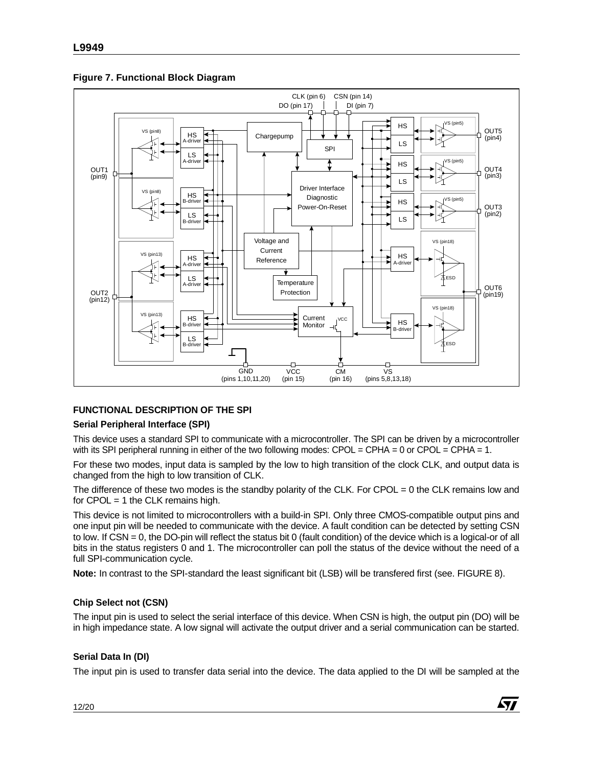

**Figure 7. Functional Block Diagram**

# **FUNCTIONAL DESCRIPTION OF THE SPI**

# **Serial Peripheral Interface (SPI)**

This device uses a standard SPI to communicate with a microcontroller. The SPI can be driven by a microcontroller with its SPI peripheral running in either of the two following modes:  $CPOL = CPHA = 0$  or  $CPOL = CPHA = 1$ .

For these two modes, input data is sampled by the low to high transition of the clock CLK, and output data is changed from the high to low transition of CLK.

The difference of these two modes is the standby polarity of the CLK. For CPOL = 0 the CLK remains low and for CPOL = 1 the CLK remains high.

This device is not limited to microcontrollers with a build-in SPI. Only three CMOS-compatible output pins and one input pin will be needed to communicate with the device. A fault condition can be detected by setting CSN to low. If CSN = 0, the DO-pin will reflect the status bit 0 (fault condition) of the device which is a logical-or of all bits in the status registers 0 and 1. The microcontroller can poll the status of the device without the need of a full SPI-communication cycle.

**Note:** In contrast to the SPI-standard the least significant bit (LSB) will be transfered first (see. FIGURE 8).

# **Chip Select not (CSN)**

The input pin is used to select the serial interface of this device. When CSN is high, the output pin (DO) will be in high impedance state. A low signal will activate the output driver and a serial communication can be started.

# **Serial Data In (DI)**

The input pin is used to transfer data serial into the device. The data applied to the DI will be sampled at the

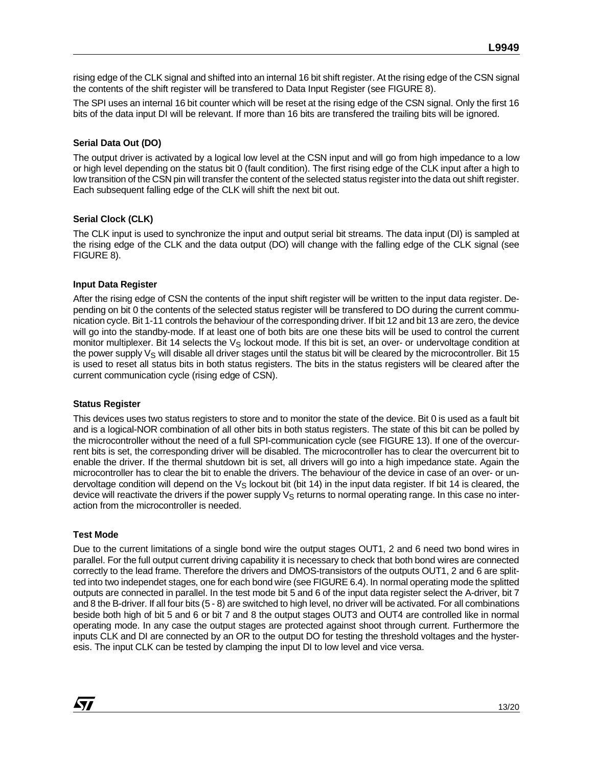rising edge of the CLK signal and shifted into an internal 16 bit shift register. At the rising edge of the CSN signal the contents of the shift register will be transfered to Data Input Register (see FIGURE 8).

The SPI uses an internal 16 bit counter which will be reset at the rising edge of the CSN signal. Only the first 16 bits of the data input DI will be relevant. If more than 16 bits are transfered the trailing bits will be ignored.

#### **Serial Data Out (DO)**

The output driver is activated by a logical low level at the CSN input and will go from high impedance to a low or high level depending on the status bit 0 (fault condition). The first rising edge of the CLK input after a high to low transition of the CSN pin will transfer the content of the selected status register into the data out shift register. Each subsequent falling edge of the CLK will shift the next bit out.

#### **Serial Clock (CLK)**

The CLK input is used to synchronize the input and output serial bit streams. The data input (DI) is sampled at the rising edge of the CLK and the data output (DO) will change with the falling edge of the CLK signal (see FIGURE 8).

#### **Input Data Register**

After the rising edge of CSN the contents of the input shift register will be written to the input data register. Depending on bit 0 the contents of the selected status register will be transfered to DO during the current communication cycle. Bit 1-11 controls the behaviour of the corresponding driver. If bit 12 and bit 13 are zero, the device will go into the standby-mode. If at least one of both bits are one these bits will be used to control the current monitor multiplexer. Bit 14 selects the  $V_S$  lockout mode. If this bit is set, an over- or undervoltage condition at the power supply  $V_S$  will disable all driver stages until the status bit will be cleared by the microcontroller. Bit 15 is used to reset all status bits in both status registers. The bits in the status registers will be cleared after the current communication cycle (rising edge of CSN).

#### **Status Register**

This devices uses two status registers to store and to monitor the state of the device. Bit 0 is used as a fault bit and is a logical-NOR combination of all other bits in both status registers. The state of this bit can be polled by the microcontroller without the need of a full SPI-communication cycle (see FIGURE 13). If one of the overcurrent bits is set, the corresponding driver will be disabled. The microcontroller has to clear the overcurrent bit to enable the driver. If the thermal shutdown bit is set, all drivers will go into a high impedance state. Again the microcontroller has to clear the bit to enable the drivers. The behaviour of the device in case of an over- or undervoltage condition will depend on the V<sub>S</sub> lockout bit (bit 14) in the input data register. If bit 14 is cleared, the device will reactivate the drivers if the power supply V<sub>S</sub> returns to normal operating range. In this case no interaction from the microcontroller is needed.

#### **Test Mode**

*kyj* 

Due to the current limitations of a single bond wire the output stages OUT1, 2 and 6 need two bond wires in parallel. For the full output current driving capability it is necessary to check that both bond wires are connected correctly to the lead frame. Therefore the drivers and DMOS-transistors of the outputs OUT1, 2 and 6 are splitted into two independet stages, one for each bond wire (see FIGURE 6.4). In normal operating mode the splitted outputs are connected in parallel. In the test mode bit 5 and 6 of the input data register select the A-driver, bit 7 and 8 the B-driver. If all four bits (5 - 8) are switched to high level, no driver will be activated. For all combinations beside both high of bit 5 and 6 or bit 7 and 8 the output stages OUT3 and OUT4 are controlled like in normal operating mode. In any case the output stages are protected against shoot through current. Furthermore the inputs CLK and DI are connected by an OR to the output DO for testing the threshold voltages and the hysteresis. The input CLK can be tested by clamping the input DI to low level and vice versa.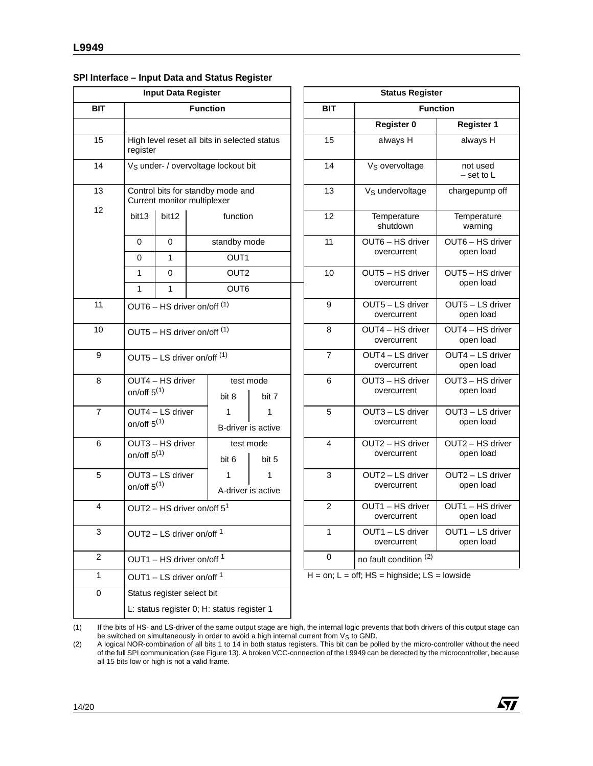#### **SPI Interface – Input Data and Status Register**

| <b>Input Data Register</b> |                   |                                                 |  |                                              |                         |                                 | <b>Status Register</b>   |                                                 |                          |
|----------------------------|-------------------|-------------------------------------------------|--|----------------------------------------------|-------------------------|---------------------------------|--------------------------|-------------------------------------------------|--------------------------|
| <b>BIT</b>                 | <b>Function</b>   |                                                 |  |                                              | <b>BIT</b>              |                                 | <b>Function</b>          |                                                 |                          |
|                            |                   |                                                 |  |                                              |                         |                                 |                          | <b>Register 0</b>                               | Register                 |
| 15                         | register          |                                                 |  | High level reset all bits in selected status |                         |                                 | 15                       | always H                                        | always H                 |
| 14                         |                   | V <sub>S</sub> under- / overvoltage lockout bit |  |                                              |                         |                                 | 14                       | V <sub>S</sub> overvoltage                      | not used<br>- set to L   |
| 13                         |                   | Current monitor multiplexer                     |  | Control bits for standby mode and            |                         |                                 | 13                       | V <sub>S</sub> undervoltage                     | chargepump               |
| 12                         | bit13             | bit12                                           |  | function                                     |                         |                                 | 12                       | Temperature<br>shutdown                         | Temperatu<br>warning     |
|                            | 0                 | $\mathbf 0$                                     |  | standby mode                                 |                         |                                 | 11                       | OUT6 - HS driver                                | OUT6 - HS c              |
|                            | 0                 | 1                                               |  | OUT <sub>1</sub>                             |                         |                                 |                          | overcurrent                                     | open load                |
|                            | 1<br>$\mathbf{1}$ | 0<br>$\mathbf{1}$                               |  | OUT <sub>2</sub><br>OUT6                     |                         |                                 | 10                       | OUT5 - HS driver<br>overcurrent                 | OUT5 - HS c<br>open load |
| 11                         |                   | OUT6 - HS driver on/off (1)                     |  |                                              |                         |                                 | 9                        | OUT5 - LS driver<br>overcurrent                 | OUT5-LSd<br>open load    |
| 10                         |                   | OUT5 - HS driver on/off (1)                     |  |                                              | 8                       | OUT4 - HS driver<br>overcurrent | OUT4 - HS o<br>open load |                                                 |                          |
| 9                          |                   | OUT5 $-$ LS driver on/off $(1)$                 |  |                                              |                         |                                 | $\overline{7}$           | OUT4 - LS driver<br>overcurrent                 | OUT4-LSd<br>open load    |
| 8                          | on/off $5^{(1)}$  | OUT4 - HS driver                                |  | bit 8                                        | test mode<br>bit 7      |                                 | 6                        | OUT3 - HS driver<br>overcurrent                 | OUT3-HS c<br>open load   |
| $\overline{7}$             | on/off $5^{(1)}$  | OUT4 - LS driver                                |  | 1                                            | 1<br>B-driver is active |                                 | 5                        | OUT3 - LS driver<br>overcurrent                 | OUT3-LSd<br>open load    |
| 6                          | on/off $5^{(1)}$  | OUT3 - HS driver                                |  | bit 6                                        | test mode<br>bit 5      |                                 | 4                        | OUT2 - HS driver<br>overcurrent                 | OUT2 - HS c<br>open load |
| 5                          | on/off $5^{(1)}$  | OUT3 - LS driver                                |  | 1                                            | 1<br>A-driver is active |                                 | 3                        | OUT2 - LS driver<br>overcurrent                 | OUT2-LSd<br>open load    |
| 4                          |                   | OUT2 - HS driver on/off $5^1$                   |  |                                              |                         |                                 | $\overline{c}$           | OUT1 - HS driver<br>overcurrent                 | OUT1-HS c<br>open load   |
| 3                          |                   | OUT2 – LS driver on/off $1$                     |  |                                              |                         |                                 | 1                        | OUT1-LS driver<br>overcurrent                   | OUT1-LSd<br>open load    |
| $\overline{2}$             |                   | OUT1 – HS driver on/off $1$                     |  |                                              |                         |                                 | 0                        | no fault condition (2)                          |                          |
| 1                          |                   | OUT1 - LS driver on/off 1                       |  |                                              |                         |                                 |                          | $H = on$ ; L = off; HS = highside; LS = lowside |                          |
| 0                          |                   | Status register select bit                      |  |                                              |                         |                                 |                          |                                                 |                          |
|                            |                   |                                                 |  | L: status register 0; H: status register 1   |                         |                                 |                          |                                                 |                          |
|                            |                   |                                                 |  |                                              |                         |                                 |                          |                                                 |                          |

|                                       | <b>Input Data Register</b>            |                 |                                            |                               |                | <b>Status Register</b>          |                               |
|---------------------------------------|---------------------------------------|-----------------|--------------------------------------------|-------------------------------|----------------|---------------------------------|-------------------------------|
|                                       |                                       | <b>Function</b> |                                            |                               | <b>BIT</b>     | <b>Function</b>                 |                               |
|                                       |                                       |                 |                                            |                               |                | Register 0                      | <b>Register 1</b>             |
| <b>aister</b>                         |                                       |                 | gh level reset all bits in selected status |                               | 15             | always H                        | always H                      |
|                                       |                                       |                 | under- / overvoltage lockout bit           |                               | 14             | V <sub>S</sub> overvoltage      | not used<br>$-$ set to L      |
|                                       | irrent monitor multiplexer            |                 | introl bits for standby mode and           |                               | 13             | V <sub>S</sub> undervoltage     | chargepump off                |
| t13                                   | bit12                                 |                 | function                                   |                               | 12             | Temperature<br>shutdown         | Temperature<br>warning        |
| 0                                     | 0                                     |                 | standby mode                               |                               | 11             | OUT6 - HS driver                | OUT6 - HS driver              |
| 0                                     | $\mathbf{1}$                          |                 | OUT <sub>1</sub>                           |                               |                | overcurrent                     | open load                     |
| 1                                     | 0                                     |                 | OUT <sub>2</sub>                           |                               | 10             | OUT5 - HS driver                | OUT5 - HS driver              |
| 1                                     | $\mathbf{1}$                          |                 | OUT6                                       |                               |                | overcurrent                     | open load                     |
| JT6 – HS driver on/off <sup>(1)</sup> |                                       | 9               | OUT5 - LS driver<br>overcurrent            | OUT5 - LS driver<br>open load |                |                                 |                               |
|                                       | JT5 – HS driver on/off <sup>(1)</sup> |                 |                                            |                               | 8              | OUT4 - HS driver<br>overcurrent | OUT4 - HS driver<br>open load |
|                                       | JT5 – LS driver on/off <sup>(1)</sup> |                 |                                            |                               | $\overline{7}$ | OUT4 - LS driver<br>overcurrent | OUT4 - LS driver<br>open load |
|                                       | JT4 - HS driver                       |                 | test mode                                  |                               | 6              | OUT3 - HS driver                | OUT3 - HS driver              |
| /off $5^{(1)}$                        |                                       |                 | bit 8                                      | bit 7                         |                | overcurrent                     | open load                     |
|                                       | JT4 - LS driver                       |                 | 1                                          | 1                             | 5              | OUT3 - LS driver                | OUT3 - LS driver              |
| /off $5^{(1)}$                        |                                       |                 | B-driver is active                         |                               |                | overcurrent                     | open load                     |
|                                       | JT3 - HS driver                       |                 | test mode                                  |                               | 4              | OUT2 - HS driver                | OUT2 - HS driver              |
| /off $5^{(1)}$                        |                                       |                 | bit 6                                      | bit 5                         |                | overcurrent                     | open load                     |
|                                       | JT3 - LS driver                       |                 | 1                                          | 1                             | 3              | OUT2 - LS driver                | OUT2 - LS driver              |
| /off $5^{(1)}$<br>A-driver is active  |                                       |                 | overcurrent                                | open load                     |                |                                 |                               |
| JT2 – HS driver on/off $5^1$          |                                       | $\overline{2}$  | OUT1 - HS driver<br>overcurrent            | OUT1 - HS driver<br>open load |                |                                 |                               |
|                                       | JT2 – LS driver on/off <sup>1</sup>   |                 |                                            |                               | 1              | OUT1 - LS driver<br>overcurrent | OUT1 - LS driver<br>open load |
|                                       | JT1 – HS driver on/off <sup>1</sup>   |                 |                                            |                               | 0              | no fault condition (2)          |                               |

of the full SPI communication (see Figure 13). A broken VCC-connection of the L9949 can be detected by the microcontroller, because all 15 bits low or high is not a valid frame.



<sup>(1)</sup> If the bits of HS- and LS-driver of the same output stage are high, the internal logic prevents that both drivers of this output stage can be switched on simultaneously in order to avoid a high internal current from V<sub>S</sub> to GND.<br>A logical NOR-combination of all bits 1 to 14 in both status registers. This bit can be polled by the micro-controller without the n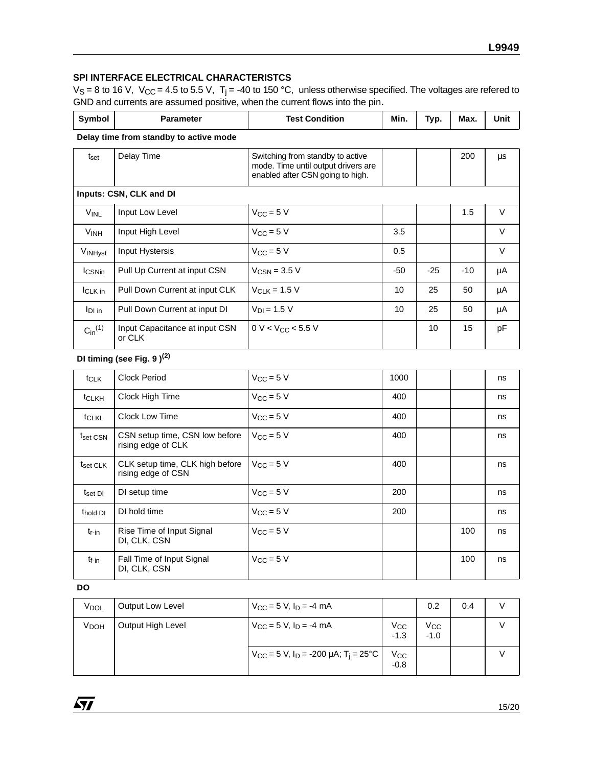# **SPI INTERFACE ELECTRICAL CHARACTERISTCS**

 $V_S = 8$  to 16 V,  $V_{CC} = 4.5$  to 5.5 V, T<sub>j</sub> = -40 to 150 °C, unless otherwise specified. The voltages are refered to GND and currents are assumed positive, when the current flows into the pin.

| Symbol                | <b>Parameter</b>                         | <b>Test Condition</b><br>Min.                                                                               |     | Typ.  | Max.  | Unit    |  |  |  |
|-----------------------|------------------------------------------|-------------------------------------------------------------------------------------------------------------|-----|-------|-------|---------|--|--|--|
|                       | Delay time from standby to active mode   |                                                                                                             |     |       |       |         |  |  |  |
| t <sub>set</sub>      | Delay Time                               | Switching from standby to active<br>mode. Time until output drivers are<br>enabled after CSN going to high. |     |       | 200   | $\mu$ s |  |  |  |
|                       | Inputs: CSN, CLK and DI                  |                                                                                                             |     |       |       |         |  |  |  |
| <b>VINL</b>           | Input Low Level                          | $V_{CC} = 5 V$                                                                                              |     |       | 1.5   | $\vee$  |  |  |  |
| V <sub>INH</sub>      | Input High Level                         | $V_{CC}$ = 5 V                                                                                              | 3.5 |       |       | $\vee$  |  |  |  |
| VINHyst               | Input Hystersis                          | $V_{CC}$ = 5 V                                                                                              | 0.5 |       |       | $\vee$  |  |  |  |
| <b>I</b> CSNin        | Pull Up Current at input CSN             | $V_{CSN}$ = 3.5 V                                                                                           | -50 | $-25$ | $-10$ | μA      |  |  |  |
| <b>ICLK</b> in        | Pull Down Current at input CLK           | $V_{CIR}$ = 1.5 V                                                                                           | 10  | 25    | 50    | μA      |  |  |  |
| $IDI$ in              | Pull Down Current at input DI            | $V_{D1} = 1.5 V$                                                                                            | 10  | 25    | 50    | μA      |  |  |  |
| $C_{\text{in}}^{(1)}$ | Input Capacitance at input CSN<br>or CLK | $0 V < V_{CC} < 5.5 V$                                                                                      |     | 10    | 15    | pF      |  |  |  |

# **DI timing (see Fig. 9 )(2)**

| $t_{CLK}$            | Clock Period                                          | $V_{CC}$ = 5 V        | 1000 |     | ns |
|----------------------|-------------------------------------------------------|-----------------------|------|-----|----|
| <b>t</b> CLKH        | Clock High Time                                       | $V_{CC} = 5 V$        | 400  |     | ns |
| tCLKL                | <b>Clock Low Time</b>                                 | $V_{\rm CC} = 5$ V    | 400  |     | ns |
| t <sub>set CSN</sub> | CSN setup time, CSN low before<br>rising edge of CLK  | $V_{\rm CC} = 5$ V    | 400  |     | ns |
| t <sub>set CLK</sub> | CLK setup time, CLK high before<br>rising edge of CSN | $V_{\rm CC} = 5$ V    | 400  |     | ns |
| $t_{\rm set}$ DI     | DI setup time                                         | $V_{CC}$ = 5 V        | 200  |     | ns |
| t <sub>hold</sub> DI | DI hold time                                          | $V_{\text{CC}} = 5$ V | 200  |     | ns |
| t <sub>r-in</sub>    | Rise Time of Input Signal<br>DI, CLK, CSN             | $V_{CC} = 5 V$        |      | 100 | ns |
| t <sub>f-in</sub>    | Fall Time of Input Signal<br>DI, CLK, CSN             | $V_{CC} = 5 V$        |      | 100 | ns |

#### **DO**

| V <sub>DOL</sub>       | Output Low Level  | $V_{CC}$ = 5 V, $I_D$ = -4 mA                                          |                    | 0.2                    | 0.4 |  |
|------------------------|-------------------|------------------------------------------------------------------------|--------------------|------------------------|-----|--|
| <b>V<sub>DOH</sub></b> | Output High Level | $V_{CC}$ = 5 V, $I_D$ = -4 mA                                          | $V_{CC}$<br>$-1.3$ | $V_{\rm CC}$<br>$-1.0$ |     |  |
|                        |                   | $V_{\text{CC}}$ = 5 V, I <sub>D</sub> = -200 µA; T <sub>i</sub> = 25°C | $V_{CC}$<br>$-0.8$ |                        |     |  |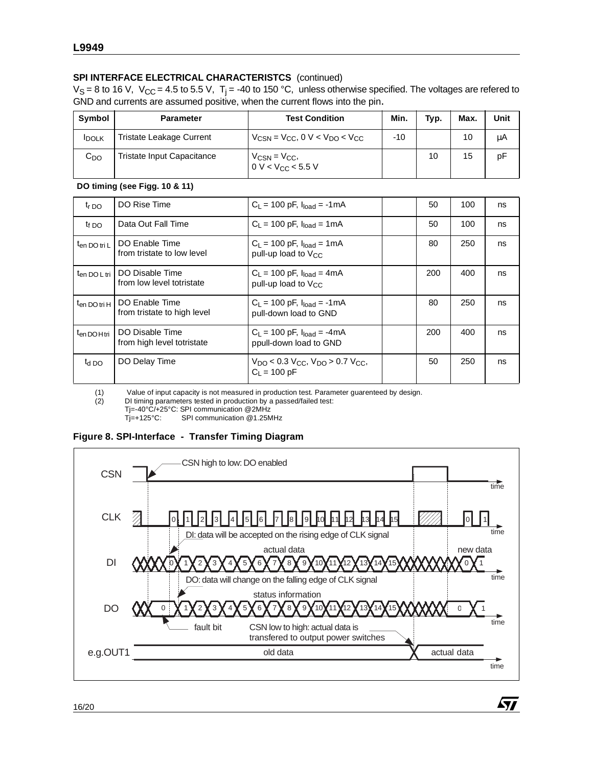# **SPI INTERFACE ELECTRICAL CHARACTERISTCS** (continued)

 $V_S = 8$  to 16 V,  $V_{CC} = 4.5$  to 5.5 V, T<sub>i</sub> = -40 to 150 °C, unless otherwise specified. The voltages are refered to GND and currents are assumed positive, when the current flows into the pin.

| Symbol            | <b>Parameter</b>                | <b>Test Condition</b>                                                             | Min. | Typ. | Max. | Unit |
|-------------------|---------------------------------|-----------------------------------------------------------------------------------|------|------|------|------|
| <b>IDOLK</b>      | <b>Tristate Leakage Current</b> | $V_{\text{CSN}}$ = $V_{\text{CC}}$ , 0 V < $V_{\text{DO}}$ < $V_{\text{CC}}$      | -10  |      | 10   | μA   |
| $\mathtt{C_{DO}}$ | Tristate Input Capacitance      | $V_{\text{CSN}} = V_{\text{CC}}$<br>$0 \text{ V} < V_{\text{CC}} < 5.5 \text{ V}$ |      | 10   | 15   | рF   |

**DO timing (see Figg. 10 & 11)**

| $t_{r}$ DO               | DO Rise Time                                  | $C_L = 100$ pF, $I_{load} = -1$ mA                                                              | 50  | 100 | ns |
|--------------------------|-----------------------------------------------|-------------------------------------------------------------------------------------------------|-----|-----|----|
| $t_{f}$ DO               | Data Out Fall Time                            | $C_L = 100$ pF, $I_{load} = 1$ mA                                                               | 50  | 100 | ns |
| $t_{en}$ DO tri L        | DO Enable Time<br>from tristate to low level  | $C_1 = 100$ pF, $I_{load} = 1$ mA<br>pull-up load to V <sub>CC</sub>                            | 80  | 250 | ns |
| t <sub>en DO L tri</sub> | DO Disable Time<br>from low level totristate  | $C_L = 100$ pF, $I_{load} = 4$ mA<br>pull-up load to V <sub>CC</sub>                            | 200 | 400 | ns |
| t <sub>en DO tri H</sub> | DO Enable Time<br>from tristate to high level | $C_L = 100$ pF, $I_{load} = -1$ mA<br>pull-down load to GND                                     | 80  | 250 | ns |
| t <sub>en DOHtri</sub>   | DO Disable Time<br>from high level totristate | $C_L = 100$ pF, $I_{load} = -4$ mA<br>ppull-down load to GND                                    | 200 | 400 | ns |
| $t_{\rm d}$ DO           | DO Delay Time                                 | $V_{\text{DO}}$ < 0.3 $V_{\text{CC}}$ , $V_{\text{DO}}$ > 0.7 $V_{\text{CC}}$<br>$C_1 = 100 pF$ | 50  | 250 | ns |

(1) Value of input capacity is not measured in production test. Parameter guarenteed by design.<br>(2) DI timing parameters tested in production by a passed/failed test:

DI timing parameters tested in production by a passed/failed test:

Tj=-40°C/+25°C: SPI communication @2MHz

Tj=+125°C: SPI communication @1.25MHz

# **Figure 8. SPI-Interface - Transfer Timing Diagram**



**Ayj**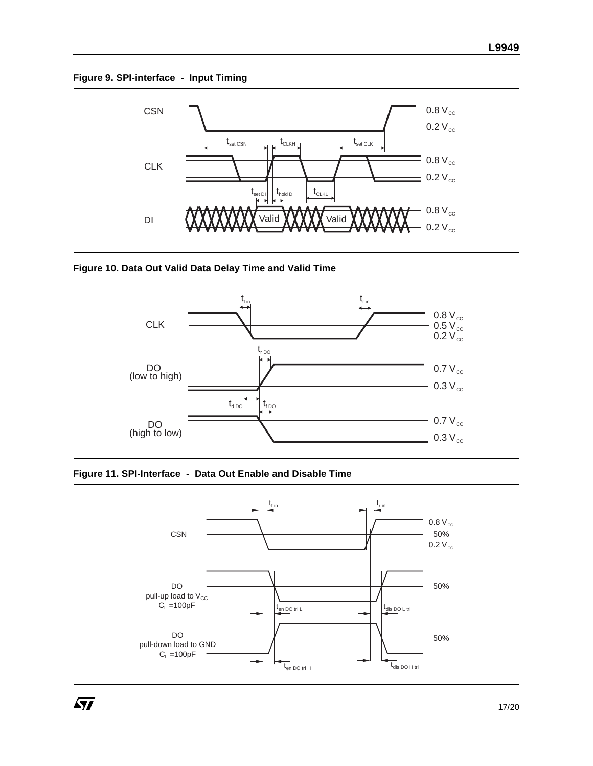**Figure 9. SPI-interface - Input Timing**







**Figure 11. SPI-Interface - Data Out Enable and Disable Time**

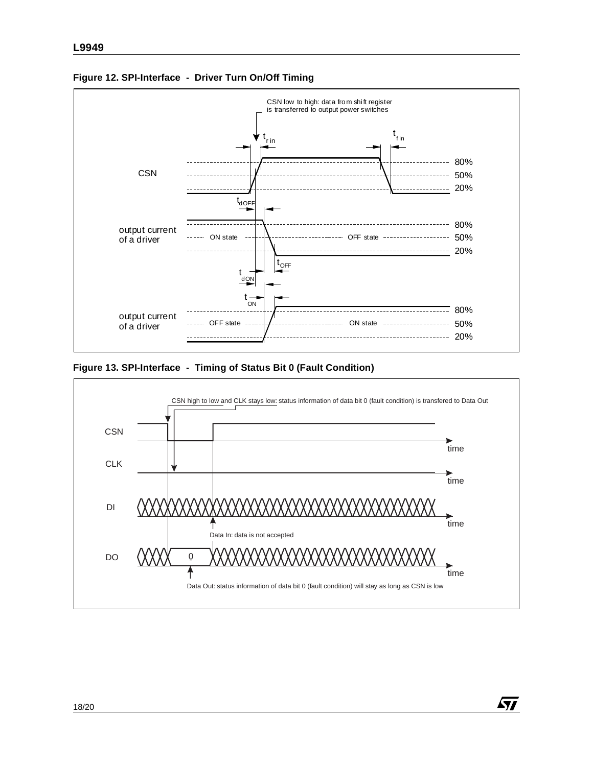

**Figure 12. SPI-Interface - Driver Turn On/Off Timing**

**Figure 13. SPI-Interface - Timing of Status Bit 0 (Fault Condition)**

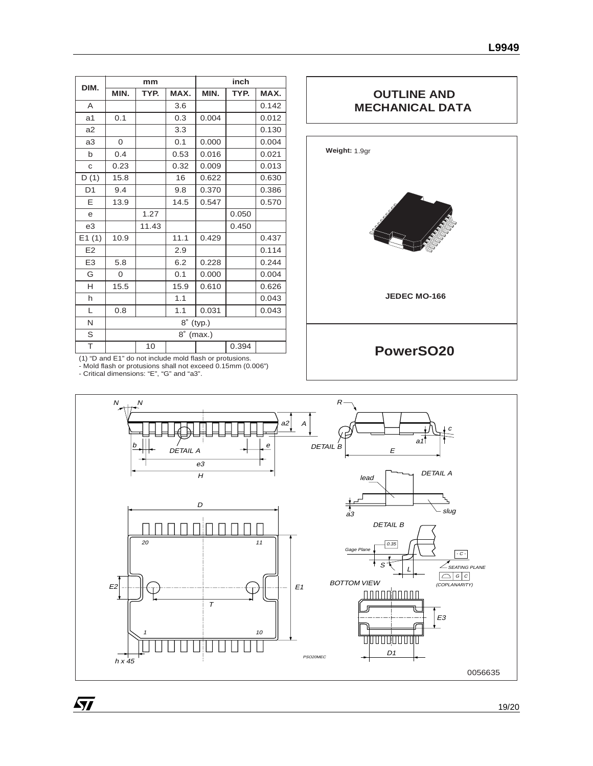| DIM.           |              | mm    |           |        | inch  |       |  |
|----------------|--------------|-------|-----------|--------|-------|-------|--|
|                | MIN.         | TYP.  | MAX.      | MIN.   | TYP.  | MAX.  |  |
| A              |              |       | 3.6       |        |       | 0.142 |  |
| a <sub>1</sub> | 0.1          |       | 0.3       | 0.004  |       | 0.012 |  |
| a2             |              |       | 3.3       |        |       | 0.130 |  |
| a3             | 0            |       | 0.1       | 0.000  |       | 0.004 |  |
| b              | 0.4          |       | 0.53      | 0.016  |       | 0.021 |  |
| C              | 0.23         |       | 0.32      | 0.009  |       | 0.013 |  |
| D(1)           | 15.8         |       | 16        | 0.622  |       | 0.630 |  |
| D <sub>1</sub> | 9.4          |       | 9.8       | 0.370  |       | 0.386 |  |
| E              | 13.9         |       | 14.5      | 0.547  |       | 0.570 |  |
| e              |              | 1.27  |           |        | 0.050 |       |  |
| e3             |              | 11.43 |           |        | 0.450 |       |  |
| E1(1)          | 10.9         |       | 11.1      | 0.429  |       | 0.437 |  |
| E2             |              |       | 2.9       |        |       | 0.114 |  |
| E <sub>3</sub> | 5.8          |       | 6.2       | 0.228  |       | 0.244 |  |
| G              | $\mathbf{O}$ |       | 0.1       | 0.000  |       | 0.004 |  |
| H              | 15.5         |       | 15.9      | 0.610  |       | 0.626 |  |
| h              |              |       | 1.1       |        |       | 0.043 |  |
| L              | 0.8          |       | 1.1       | 0.031  |       | 0.043 |  |
| N              |              |       | 8°        | (typ.) |       |       |  |
| S              |              |       | $8^\circ$ | (max.) |       |       |  |
| T              |              | 10    |           |        | 0.394 |       |  |

# **OUTLINE AND MECHANICAL DATA**



(1) "D and E1" do not include mold flash or protusions. - Mold flash or protusions shall not exceed 0.15mm (0.006") - Critical dimensions: "E", "G" and "a3".

 $\sqrt{27}$